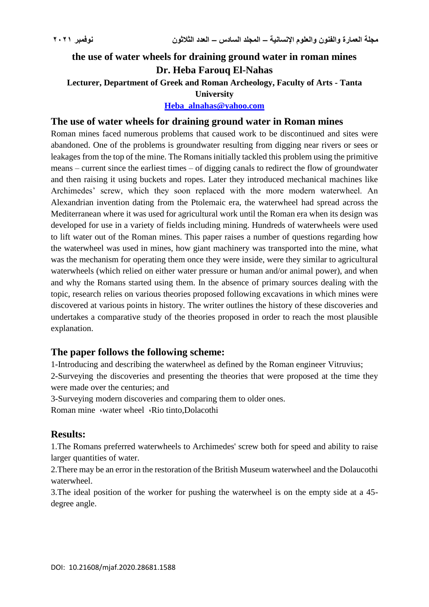# **the use of water wheels for draining ground water in roman mines Dr. Heba Farouq El-Nahas**

**Lecturer, Department of Greek and Roman Archeology, Faculty of Arts - Tanta** 

#### **University**

**[Heba\\_alnahas@yahoo.com](mailto:Heba_alnahas@yahoo.com)**

## **The use of water wheels for draining ground water in Roman mines**

Roman mines faced numerous problems that caused work to be discontinued and sites were abandoned. One of the problems is groundwater resulting from digging near rivers or sees or leakages from the top of the mine. The Romans initially tackled this problem using the primitive means – current since the earliest times – of digging canals to redirect the flow of groundwater and then raising it using buckets and ropes. Later they introduced mechanical machines like Archimedes' screw, which they soon replaced with the more modern waterwheel. An Alexandrian invention dating from the Ptolemaic era, the waterwheel had spread across the Mediterranean where it was used for agricultural work until the Roman era when its design was developed for use in a variety of fields including mining. Hundreds of waterwheels were used to lift water out of the Roman mines. This paper raises a number of questions regarding how the waterwheel was used in mines, how giant machinery was transported into the mine, what was the mechanism for operating them once they were inside, were they similar to agricultural waterwheels (which relied on either water pressure or human and/or animal power), and when and why the Romans started using them. In the absence of primary sources dealing with the topic, research relies on various theories proposed following excavations in which mines were discovered at various points in history. The writer outlines the history of these discoveries and undertakes a comparative study of the theories proposed in order to reach the most plausible explanation.

### **The paper follows the following scheme:**

1-Introducing and describing the waterwheel as defined by the Roman engineer Vitruvius;

2-Surveying the discoveries and presenting the theories that were proposed at the time they were made over the centuries; and

3-Surveying modern discoveries and comparing them to older ones.

Roman mine ،water wheel ،Rio tinto,Dolacothi

### **Results:**

1.The Romans preferred waterwheels to Archimedes' screw both for speed and ability to raise larger quantities of water.

2.There may be an error in the restoration of the British Museum waterwheel and the Dolaucothi waterwheel.

3.The ideal position of the worker for pushing the waterwheel is on the empty side at a 45 degree angle.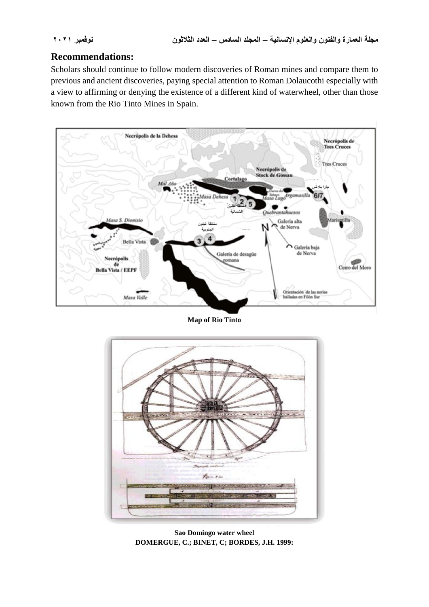# **Recommendations:**

Scholars should continue to follow modern discoveries of Roman mines and compare them to previous and ancient discoveries, paying special attention to Roman Dolaucothi especially with a view to affirming or denying the existence of a different kind of waterwheel, other than those known from the Rio Tinto Mines in Spain.



**Map of Rio Tinto**



**Sao Domingo water wheel DOMERGUE, C.; BINET, C; BORDES, J.H. 1999:**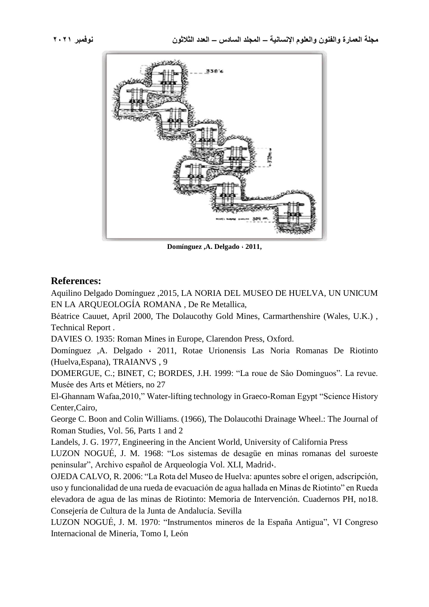

**Domínguez ,A. Delgado ، 2011,**

### **References:**

Aquilino Delgado Domínguez ,2015, LA NORIA DEL MUSEO DE HUELVA, UN UNICUM EN LA ARQUEOLOGÍA ROMANA , De Re Metallica,

Béatrice Cauuet, April 2000, The Dolaucothy Gold Mines, Carmarthenshire (Wales, U.K.) , Technical Report .

DAVIES O. 1935: Roman Mines in Europe, Clarendon Press, Oxford.

Domínguez ,A. Delgado ، 2011, Rotae Urionensis Las Noria Romanas De Riotinto (Huelva,Espana), TRAIANVS , 9

DOMERGUE, C.; BINET, C; BORDES, J.H. 1999: "La roue de Sâo Dominguos". La revue. Musée des Arts et Métiers, no 27

El-Ghannam Wafaa,2010," Water-lifting technology in Graeco-Roman Egypt "Science History Center,Cairo,

George C. Boon and Colin Williams. (1966), The Dolaucothi Drainage Wheel.: The Journal of Roman Studies, Vol. 56, Parts 1 and 2

Landels, J. G. 1977, Engineering in the Ancient World, University of California Press

LUZON NOGUÉ, J. M. 1968: "Los sistemas de desagüe en minas romanas del suroeste peninsular", Archivo español de Arqueología Vol. XLI, Madrid،.

OJEDA CALVO, R. 2006: "La Rota del Museo de Huelva: apuntes sobre el origen, adscripción, uso y funcionalidad de una rueda de evacuación de agua hallada en Minas de Riotinto" en Rueda elevadora de agua de las minas de Riotinto: Memoria de Intervención. Cuadernos PH, no18. Consejería de Cultura de la Junta de Andalucía. Sevilla

LUZON NOGUÉ, J. M. 1970: "Instrumentos mineros de la España Antigua", VI Congreso Internacional de Minería, Tomo I, León